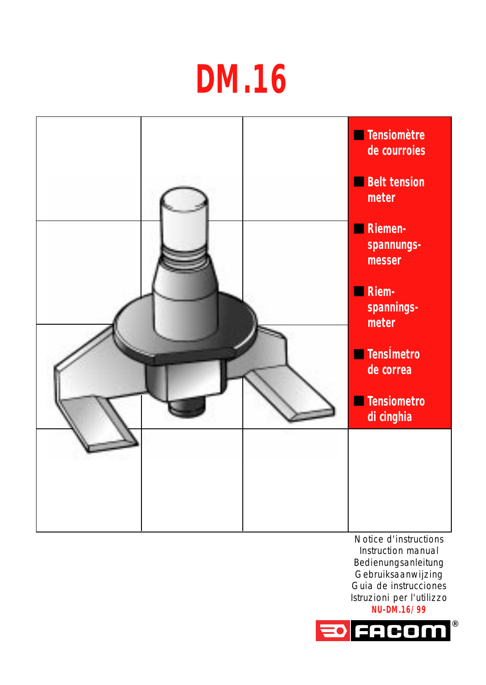## **DM.16**



**NU-DM.16/99**

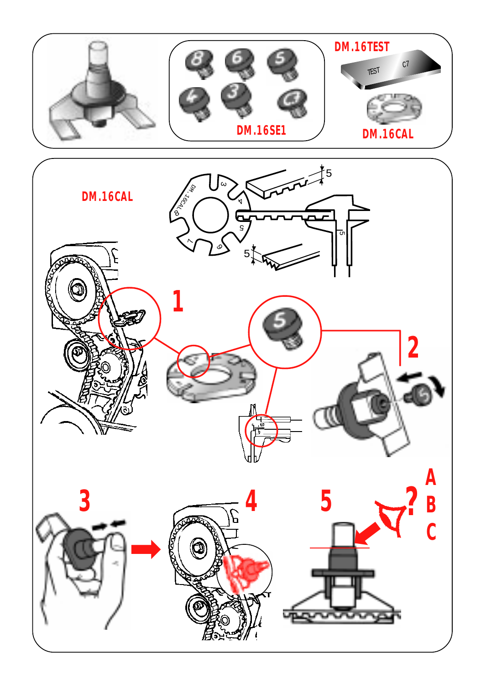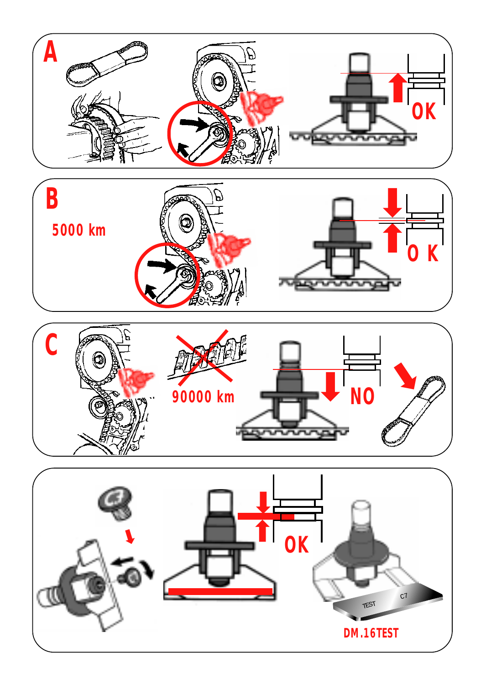